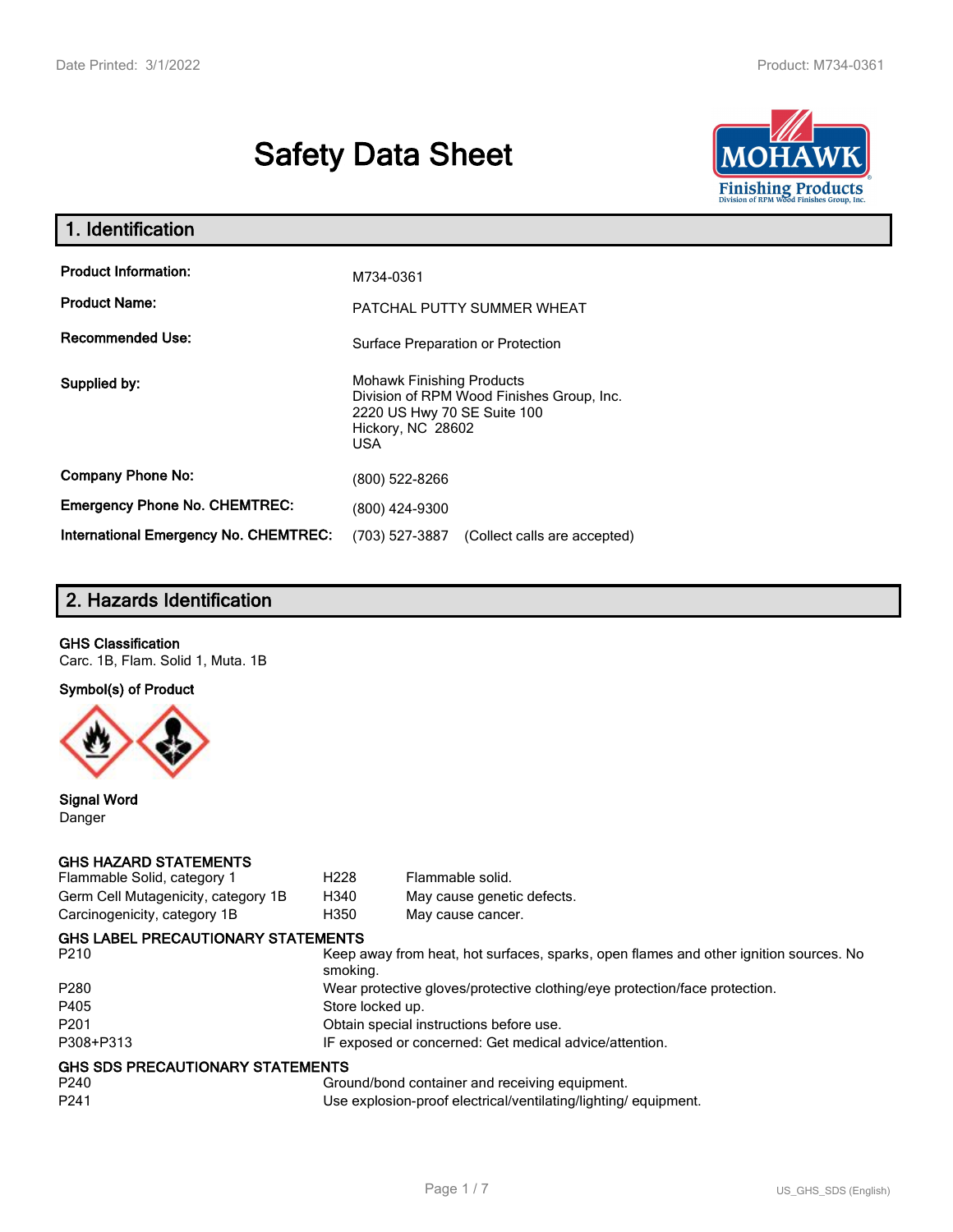# **Safety Data Sheet**



| 1. Identification                                   |                                                                                                                                           |
|-----------------------------------------------------|-------------------------------------------------------------------------------------------------------------------------------------------|
| <b>Product Information:</b><br><b>Product Name:</b> | M734-0361<br>PATCHAL PUTTY SUMMER WHEAT                                                                                                   |
| <b>Recommended Use:</b>                             | Surface Preparation or Protection                                                                                                         |
| Supplied by:                                        | <b>Mohawk Finishing Products</b><br>Division of RPM Wood Finishes Group, Inc.<br>2220 US Hwy 70 SE Suite 100<br>Hickory, NC 28602<br>USA. |
| <b>Company Phone No:</b>                            | (800) 522-8266                                                                                                                            |
| <b>Emergency Phone No. CHEMTREC:</b>                | (800) 424-9300                                                                                                                            |
| <b>International Emergency No. CHEMTREC:</b>        | (703) 527-3887<br>(Collect calls are accepted)                                                                                            |

# **2. Hazards Identification**

## **GHS Classification**

Carc. 1B, Flam. Solid 1, Muta. 1B

**Symbol(s) of Product**



**Signal Word** Danger

#### **GHS HAZARD STATEMENTS**

| Flammable Solid, category 1               | H <sub>228</sub>                                               | Flammable solid.                                                                      |
|-------------------------------------------|----------------------------------------------------------------|---------------------------------------------------------------------------------------|
| Germ Cell Mutagenicity, category 1B       | H340                                                           | May cause genetic defects.                                                            |
| Carcinogenicity, category 1B              | H350                                                           | May cause cancer.                                                                     |
| <b>GHS LABEL PRECAUTIONARY STATEMENTS</b> |                                                                |                                                                                       |
| P <sub>210</sub>                          | smoking.                                                       | Keep away from heat, hot surfaces, sparks, open flames and other ignition sources. No |
| P <sub>280</sub>                          |                                                                | Wear protective gloves/protective clothing/eye protection/face protection.            |
| P405                                      | Store locked up.                                               |                                                                                       |
| P <sub>201</sub>                          | Obtain special instructions before use.                        |                                                                                       |
| P308+P313                                 | IF exposed or concerned: Get medical advice/attention.         |                                                                                       |
| <b>GHS SDS PRECAUTIONARY STATEMENTS</b>   |                                                                |                                                                                       |
| P240                                      |                                                                | Ground/bond container and receiving equipment.                                        |
| P <sub>241</sub>                          | Use explosion-proof electrical/ventilating/lighting/equipment. |                                                                                       |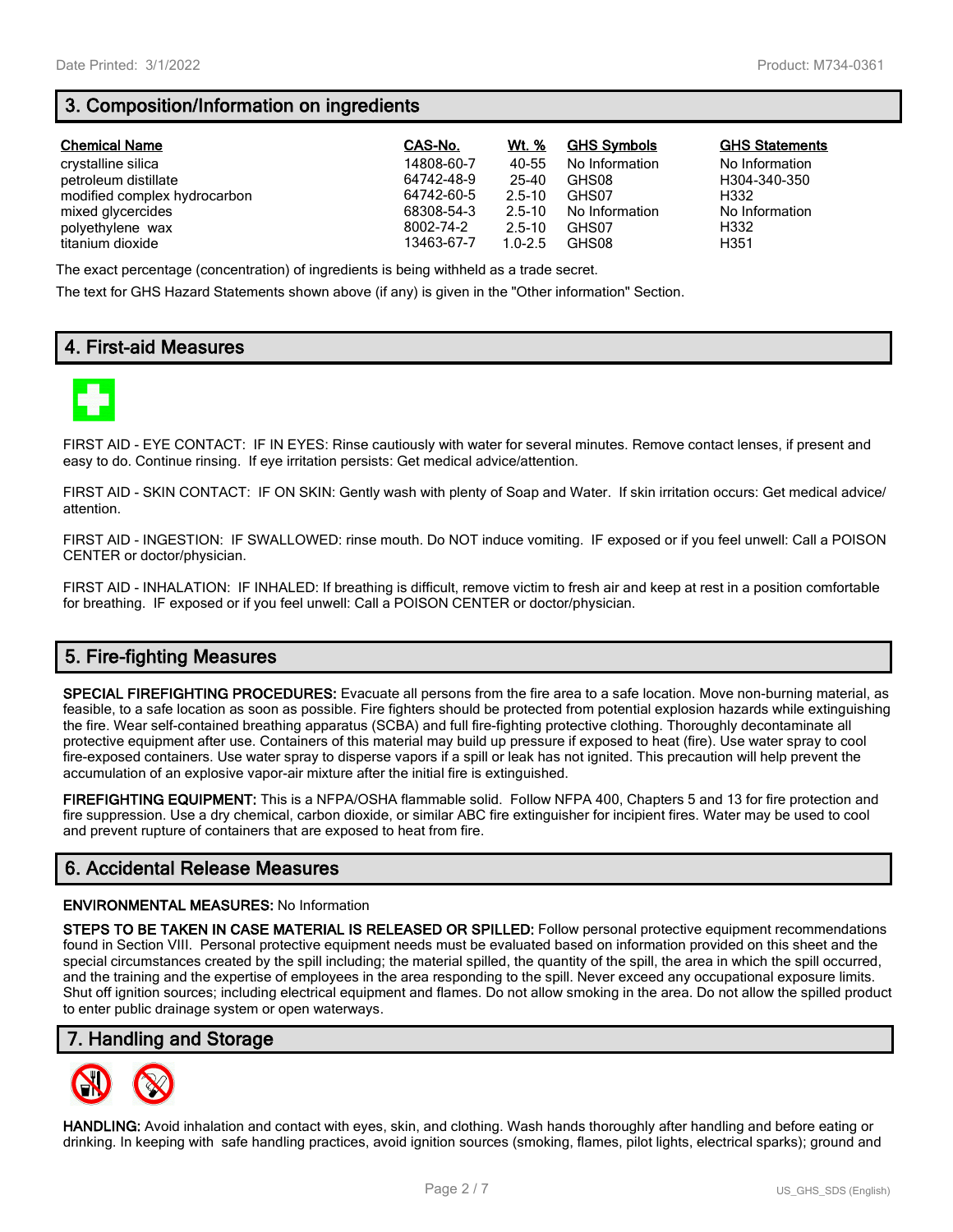# **3. Composition/Information on ingredients**

| <b>Chemical Name</b>         | CAS-No.    | Wt. %       | <b>GHS Symbols</b> | <b>GHS Statements</b> |
|------------------------------|------------|-------------|--------------------|-----------------------|
| crystalline silica           | 14808-60-7 | 40-55       | No Information     | No Information        |
| petroleum distillate         | 64742-48-9 | 25-40       | GHS08              | H304-340-350          |
| modified complex hydrocarbon | 64742-60-5 | $2.5 - 10$  | GHS07              | H332                  |
| mixed glycercides            | 68308-54-3 | $2.5 - 10$  | No Information     | No Information        |
| polyethylene wax             | 8002-74-2  | $2.5 - 10$  | GHS07              | H332                  |
| titanium dioxide             | 13463-67-7 | $1.0 - 2.5$ | GHS08              | H351                  |

The exact percentage (concentration) of ingredients is being withheld as a trade secret.

The text for GHS Hazard Statements shown above (if any) is given in the "Other information" Section.

## **4. First-aid Measures**



FIRST AID - EYE CONTACT: IF IN EYES: Rinse cautiously with water for several minutes. Remove contact lenses, if present and easy to do. Continue rinsing. If eye irritation persists: Get medical advice/attention.

FIRST AID - SKIN CONTACT: IF ON SKIN: Gently wash with plenty of Soap and Water. If skin irritation occurs: Get medical advice/ attention.

FIRST AID - INGESTION: IF SWALLOWED: rinse mouth. Do NOT induce vomiting. IF exposed or if you feel unwell: Call a POISON CENTER or doctor/physician.

FIRST AID - INHALATION: IF INHALED: If breathing is difficult, remove victim to fresh air and keep at rest in a position comfortable for breathing. IF exposed or if you feel unwell: Call a POISON CENTER or doctor/physician.

# **5. Fire-fighting Measures**

**SPECIAL FIREFIGHTING PROCEDURES:** Evacuate all persons from the fire area to a safe location. Move non-burning material, as feasible, to a safe location as soon as possible. Fire fighters should be protected from potential explosion hazards while extinguishing the fire. Wear self-contained breathing apparatus (SCBA) and full fire-fighting protective clothing. Thoroughly decontaminate all protective equipment after use. Containers of this material may build up pressure if exposed to heat (fire). Use water spray to cool fire-exposed containers. Use water spray to disperse vapors if a spill or leak has not ignited. This precaution will help prevent the accumulation of an explosive vapor-air mixture after the initial fire is extinguished.

**FIREFIGHTING EQUIPMENT:** This is a NFPA/OSHA flammable solid. Follow NFPA 400, Chapters 5 and 13 for fire protection and fire suppression. Use a dry chemical, carbon dioxide, or similar ABC fire extinguisher for incipient fires. Water may be used to cool and prevent rupture of containers that are exposed to heat from fire.

## **6. Accidental Release Measures**

#### **ENVIRONMENTAL MEASURES:** No Information

**STEPS TO BE TAKEN IN CASE MATERIAL IS RELEASED OR SPILLED:** Follow personal protective equipment recommendations found in Section VIII. Personal protective equipment needs must be evaluated based on information provided on this sheet and the special circumstances created by the spill including; the material spilled, the quantity of the spill, the area in which the spill occurred, and the training and the expertise of employees in the area responding to the spill. Never exceed any occupational exposure limits. Shut off ignition sources; including electrical equipment and flames. Do not allow smoking in the area. Do not allow the spilled product to enter public drainage system or open waterways.

## **7. Handling and Storage**



**HANDLING:** Avoid inhalation and contact with eyes, skin, and clothing. Wash hands thoroughly after handling and before eating or drinking. In keeping with safe handling practices, avoid ignition sources (smoking, flames, pilot lights, electrical sparks); ground and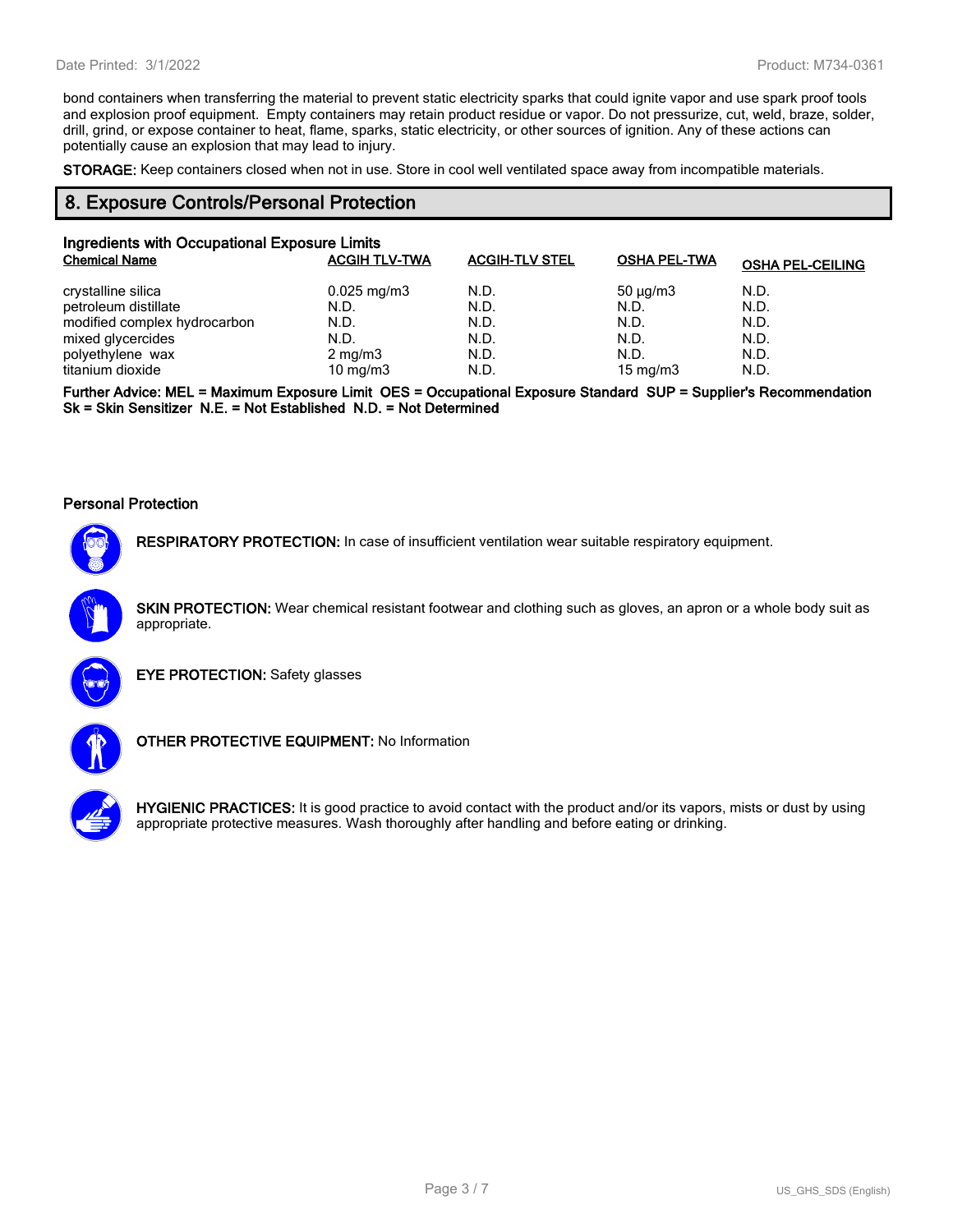bond containers when transferring the material to prevent static electricity sparks that could ignite vapor and use spark proof tools and explosion proof equipment. Empty containers may retain product residue or vapor. Do not pressurize, cut, weld, braze, solder, drill, grind, or expose container to heat, flame, sparks, static electricity, or other sources of ignition. Any of these actions can potentially cause an explosion that may lead to injury.

**STORAGE:** Keep containers closed when not in use. Store in cool well ventilated space away from incompatible materials.

#### **8. Exposure Controls/Personal Protection**

| Ingredients with Occupational Exposure Limits |                         |                       |                     |                         |
|-----------------------------------------------|-------------------------|-----------------------|---------------------|-------------------------|
| <b>Chemical Name</b>                          | <b>ACGIH TLV-TWA</b>    | <b>ACGIH-TLV STEL</b> | <b>OSHA PEL-TWA</b> | <b>OSHA PEL-CEILING</b> |
| crystalline silica                            | $0.025 \,\mathrm{mg/m}$ | N.D.                  | $50 \mu q/m3$       | N.D.                    |
| petroleum distillate                          | N.D.                    | N.D.                  | N.D.                | N.D.                    |
| modified complex hydrocarbon                  | N.D.                    | N.D.                  | N.D.                | N.D.                    |
| mixed glycercides                             | N.D.                    | N.D.                  | N.D.                | N.D.                    |
| polyethylene wax                              | $2 \text{ mg/m}$ 3      | N.D.                  | N.D.                | N.D.                    |
| titanium dioxide                              | 10 mg/m $3$             | N.D.                  | 15 mg/m $3$         | N.D.                    |

**Further Advice: MEL = Maximum Exposure Limit OES = Occupational Exposure Standard SUP = Supplier's Recommendation Sk = Skin Sensitizer N.E. = Not Established N.D. = Not Determined**

#### **Personal Protection**



**RESPIRATORY PROTECTION:** In case of insufficient ventilation wear suitable respiratory equipment.

**SKIN PROTECTION:** Wear chemical resistant footwear and clothing such as gloves, an apron or a whole body suit as appropriate.



**EYE PROTECTION:** Safety glasses



**OTHER PROTECTIVE EQUIPMENT:** No Information



**HYGIENIC PRACTICES:** It is good practice to avoid contact with the product and/or its vapors, mists or dust by using appropriate protective measures. Wash thoroughly after handling and before eating or drinking.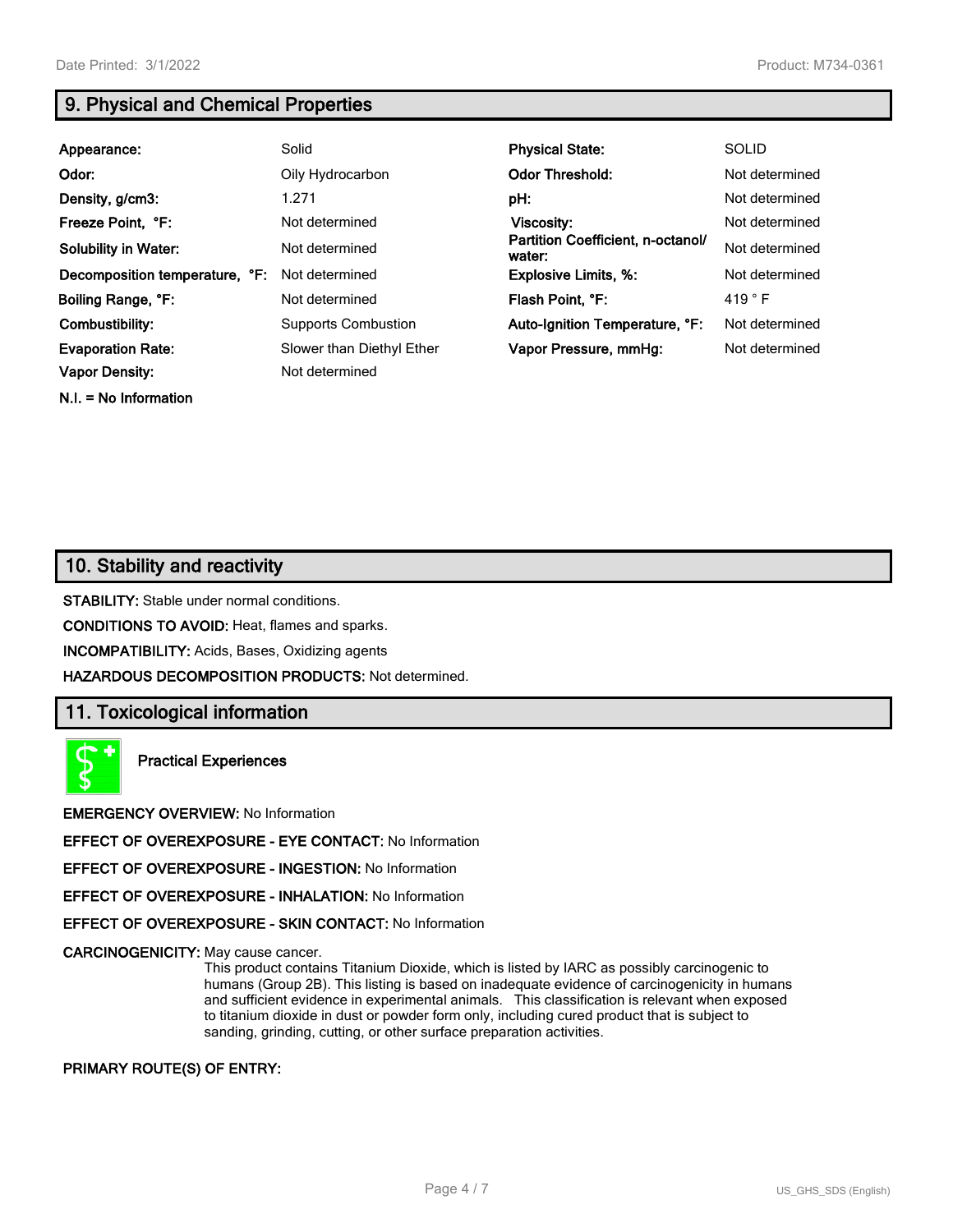**N.I. = No Information**

# **9. Physical and Chemical Properties**

| Appearance:                    | Solid                      | <b>Physical State:</b>                      | <b>SOLID</b>    |
|--------------------------------|----------------------------|---------------------------------------------|-----------------|
| Odor:                          | Oily Hydrocarbon           | <b>Odor Threshold:</b>                      | Not determined  |
| Density, g/cm3:                | 1.271                      | pH:                                         | Not determined  |
| Freeze Point, °F:              | Not determined             | <b>Viscosity:</b>                           | Not determined  |
| <b>Solubility in Water:</b>    | Not determined             | Partition Coefficient, n-octanol/<br>water: | Not determined  |
| Decomposition temperature, °F: | Not determined             | <b>Explosive Limits, %:</b>                 | Not determined  |
| Boiling Range, °F:             | Not determined             | Flash Point, °F:                            | 419 $\degree$ F |
| Combustibility:                | <b>Supports Combustion</b> | Auto-Ignition Temperature, °F:              | Not determined  |
| <b>Evaporation Rate:</b>       | Slower than Diethyl Ether  | Vapor Pressure, mmHq:                       | Not determined  |
| <b>Vapor Density:</b>          | Not determined             |                                             |                 |

## **10. Stability and reactivity**

**STABILITY:** Stable under normal conditions.

**CONDITIONS TO AVOID:** Heat, flames and sparks.

**INCOMPATIBILITY:** Acids, Bases, Oxidizing agents

**HAZARDOUS DECOMPOSITION PRODUCTS:** Not determined.

## **11. Toxicological information**

**Practical Experiences**

**EMERGENCY OVERVIEW:** No Information

**EFFECT OF OVEREXPOSURE - EYE CONTACT:** No Information

**EFFECT OF OVEREXPOSURE - INGESTION:** No Information

**EFFECT OF OVEREXPOSURE - INHALATION:** No Information

**EFFECT OF OVEREXPOSURE - SKIN CONTACT:** No Information

**CARCINOGENICITY:** May cause cancer.

This product contains Titanium Dioxide, which is listed by IARC as possibly carcinogenic to humans (Group 2B). This listing is based on inadequate evidence of carcinogenicity in humans and sufficient evidence in experimental animals. This classification is relevant when exposed to titanium dioxide in dust or powder form only, including cured product that is subject to sanding, grinding, cutting, or other surface preparation activities.

#### **PRIMARY ROUTE(S) OF ENTRY:**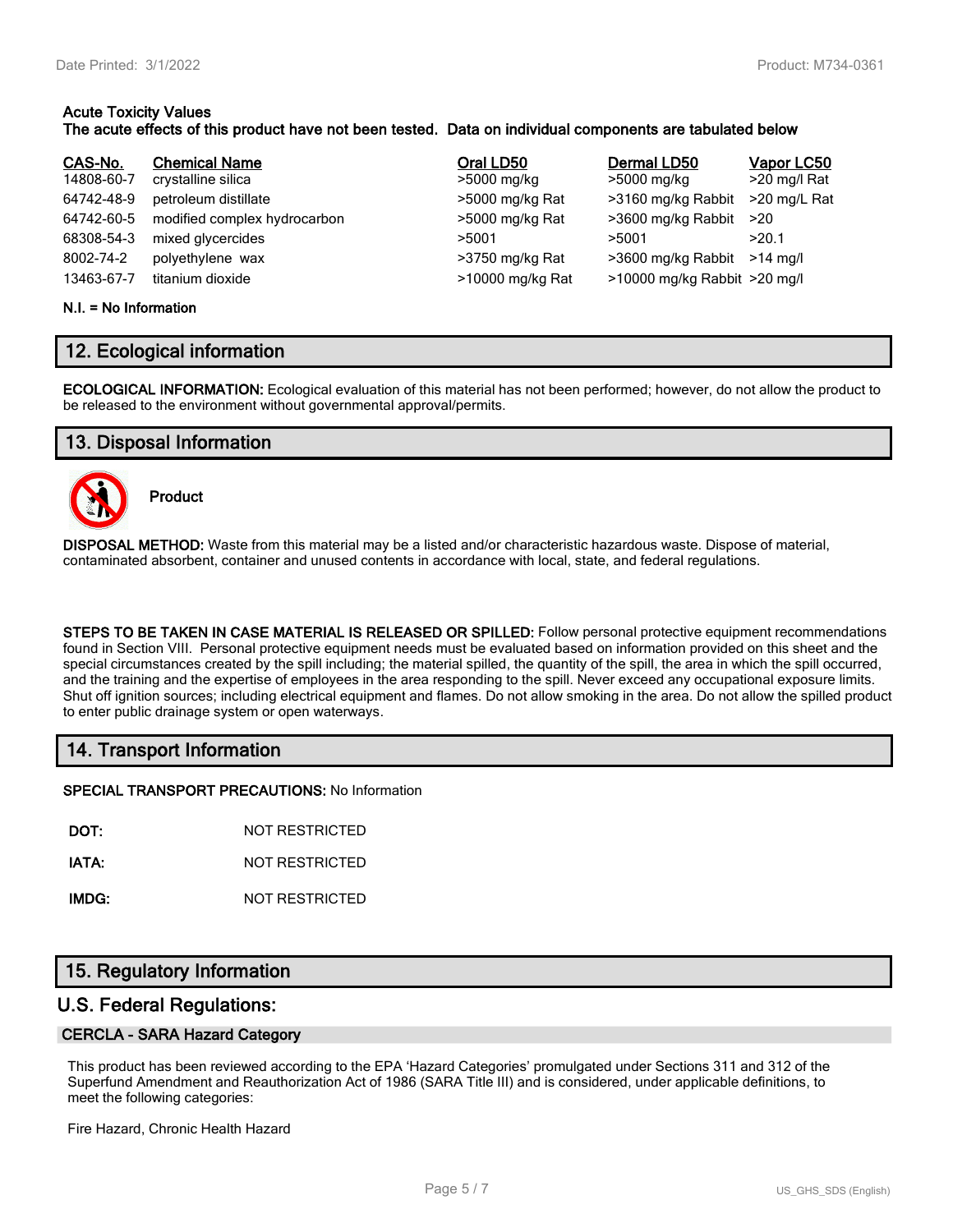# **Acute Toxicity Values**

#### **The acute effects of this product have not been tested. Data on individual components are tabulated below**

| CAS-No.    | <b>Chemical Name</b>         | Oral LD50        | Dermal LD50                  | Vapor LC50   |
|------------|------------------------------|------------------|------------------------------|--------------|
| 14808-60-7 | crystalline silica           | >5000 mg/kg      | >5000 mg/kg                  | >20 mg/l Rat |
| 64742-48-9 | petroleum distillate         | >5000 mg/kg Rat  | >3160 mg/kg Rabbit           | >20 mg/L Rat |
| 64742-60-5 | modified complex hydrocarbon | >5000 mg/kg Rat  | >3600 mg/kg Rabbit           | >20          |
| 68308-54-3 | mixed glycercides            | >5001            | >5001                        | >20.1        |
| 8002-74-2  | polyethylene wax             | >3750 mg/kg Rat  | >3600 mg/kg Rabbit >14 mg/l  |              |
| 13463-67-7 | titanium dioxide             | >10000 mg/kg Rat | >10000 mg/kg Rabbit >20 mg/l |              |

#### **N.I. = No Information**

## **12. Ecological information**

**ECOLOGICAL INFORMATION:** Ecological evaluation of this material has not been performed; however, do not allow the product to be released to the environment without governmental approval/permits.

## **13. Disposal Information**



**Product**

**DISPOSAL METHOD:** Waste from this material may be a listed and/or characteristic hazardous waste. Dispose of material, contaminated absorbent, container and unused contents in accordance with local, state, and federal regulations.

**STEPS TO BE TAKEN IN CASE MATERIAL IS RELEASED OR SPILLED:** Follow personal protective equipment recommendations found in Section VIII. Personal protective equipment needs must be evaluated based on information provided on this sheet and the special circumstances created by the spill including; the material spilled, the quantity of the spill, the area in which the spill occurred, and the training and the expertise of employees in the area responding to the spill. Never exceed any occupational exposure limits. Shut off ignition sources; including electrical equipment and flames. Do not allow smoking in the area. Do not allow the spilled product to enter public drainage system or open waterways.

## **14. Transport Information**

**SPECIAL TRANSPORT PRECAUTIONS:** No Information

**DOT:** NOT RESTRICTED

**IATA:** NOT RESTRICTED

**IMDG:** NOT RESTRICTED

## **15. Regulatory Information**

## **U.S. Federal Regulations:**

#### **CERCLA - SARA Hazard Category**

This product has been reviewed according to the EPA 'Hazard Categories' promulgated under Sections 311 and 312 of the Superfund Amendment and Reauthorization Act of 1986 (SARA Title III) and is considered, under applicable definitions, to meet the following categories:

Fire Hazard, Chronic Health Hazard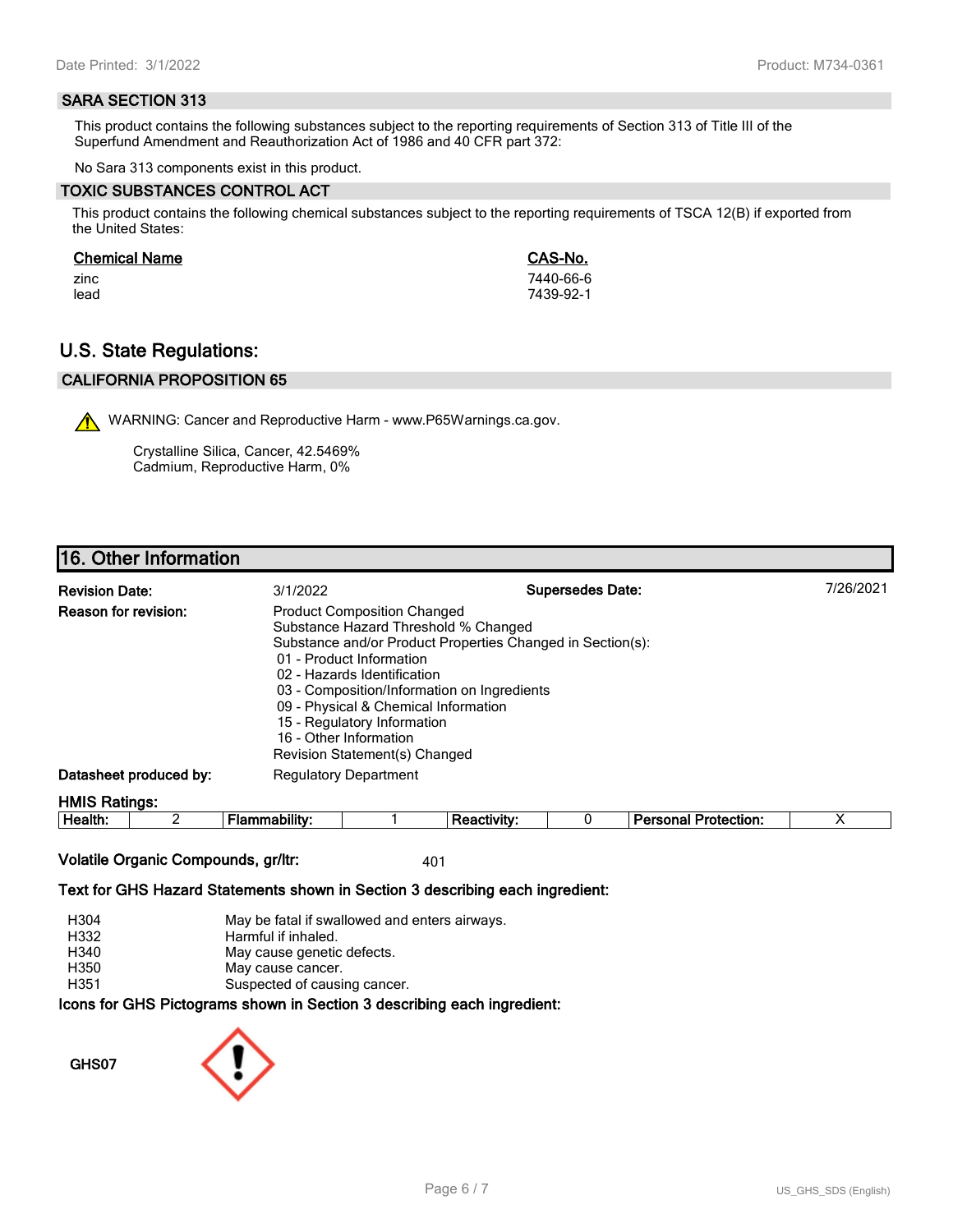#### **SARA SECTION 313**

This product contains the following substances subject to the reporting requirements of Section 313 of Title III of the Superfund Amendment and Reauthorization Act of 1986 and 40 CFR part 372:

No Sara 313 components exist in this product.

#### **TOXIC SUBSTANCES CONTROL ACT**

This product contains the following chemical substances subject to the reporting requirements of TSCA 12(B) if exported from the United States:

#### **Chemical Name CAS-No.**

zinc 7440-66-6 lead 7439-92-1

## **U.S. State Regulations:**

## **CALIFORNIA PROPOSITION 65**

WARNING: Cancer and Reproductive Harm - www.P65Warnings.ca.gov.

Crystalline Silica, Cancer, 42.5469% Cadmium, Reproductive Harm, 0%

## **16. Other Information**

| <b>Revision Date:</b>       | 3/1/2022                                                                                                                                                                                                                                                                                                                                                                             | <b>Supersedes Date:</b> | 7/26/2021 |
|-----------------------------|--------------------------------------------------------------------------------------------------------------------------------------------------------------------------------------------------------------------------------------------------------------------------------------------------------------------------------------------------------------------------------------|-------------------------|-----------|
| <b>Reason for revision:</b> | <b>Product Composition Changed</b><br>Substance Hazard Threshold % Changed<br>Substance and/or Product Properties Changed in Section(s):<br>01 - Product Information<br>02 - Hazards Identification<br>03 - Composition/Information on Ingredients<br>09 - Physical & Chemical Information<br>15 - Regulatory Information<br>16 - Other Information<br>Revision Statement(s) Changed |                         |           |
| Datasheet produced by:      | <b>Regulatory Department</b>                                                                                                                                                                                                                                                                                                                                                         |                         |           |
| <b>HMIS Ratings:</b>        |                                                                                                                                                                                                                                                                                                                                                                                      |                         |           |

| пt<br>---- | - |  |  | .<br>ою<br>чиог.<br>1 I C |  |
|------------|---|--|--|---------------------------|--|
|            |   |  |  |                           |  |

## **Volatile Organic Compounds, gr/ltr:** 401

#### **Text for GHS Hazard Statements shown in Section 3 describing each ingredient:**

| H304 | May be fatal if swallowed and enters airways.                   |
|------|-----------------------------------------------------------------|
| H332 | Harmful if inhaled.                                             |
| H340 | May cause genetic defects.                                      |
| H350 | May cause cancer.                                               |
| H351 | Suspected of causing cancer.                                    |
|      | cons for GHS Pictograms shown in Section 3 describing each ingr |

## ams snown in Section 3 describing each ingredient<mark>:</mark>

**GHS07**